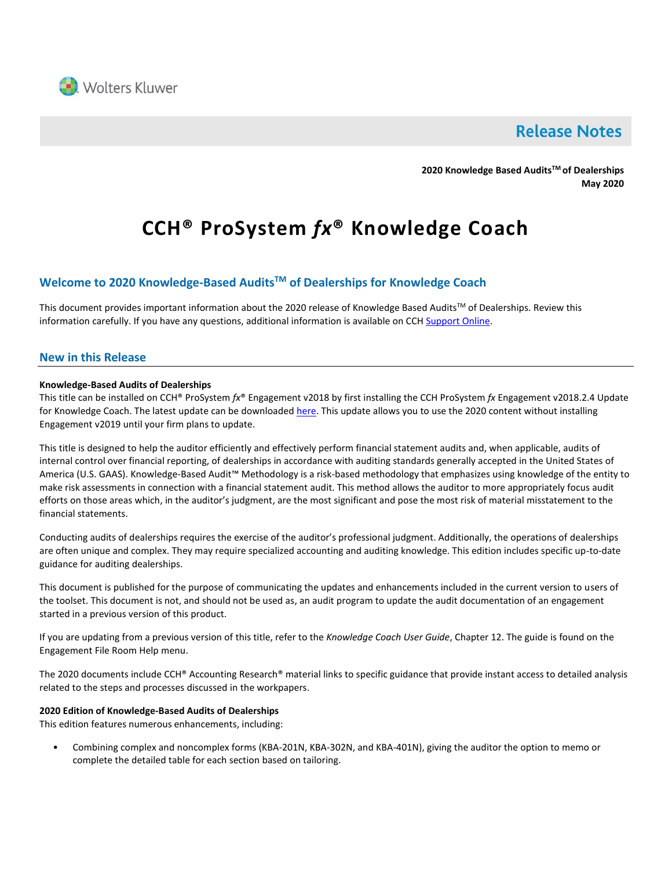

# **Release Notes**

**2020 Knowledge Based AuditsTM of Dealerships May 2020**

# **CCH® ProSystem** *fx***® Knowledge Coach**

# **Welcome to 2020 Knowledge-Based AuditsTM of Dealerships for Knowledge Coach**

This document provides important information about the 2020 release of Knowledge Based Audits™ of Dealerships. Review this information carefully. If you have any questions, additional information is available on CCH [Support Online.](http://support.cch.com/productsupport/)

### **New in this Release**

#### **Knowledge-Based Audits of Dealerships**

This title can be installed on CCH® ProSystem *fx*® Engagement v2018 by first installing the CCH ProSystem *fx* Engagement v2018.2.4 Update for Knowledge Coach. The latest update can be downloade[d here.](https://support.cch.com/updates/Engagement/release2018/release2018.aspx) This update allows you to use the 2020 content without installing Engagement v2019 until your firm plans to update.

This title is designed to help the auditor efficiently and effectively perform financial statement audits and, when applicable, audits of internal control over financial reporting, of dealerships in accordance with auditing standards generally accepted in the United States of America (U.S. GAAS). Knowledge-Based Audit™ Methodology is a risk-based methodology that emphasizes using knowledge of the entity to make risk assessments in connection with a financial statement audit. This method allows the auditor to more appropriately focus audit efforts on those areas which, in the auditor's judgment, are the most significant and pose the most risk of material misstatement to the financial statements.

Conducting audits of dealerships requires the exercise of the auditor's professional judgment. Additionally, the operations of dealerships are often unique and complex. They may require specialized accounting and auditing knowledge. This edition includes specific up-to-date guidance for auditing dealerships.

This document is published for the purpose of communicating the updates and enhancements included in the current version to users of the toolset. This document is not, and should not be used as, an audit program to update the audit documentation of an engagement started in a previous version of this product.

If you are updating from a previous version of this title, refer to the *Knowledge Coach User Guide*, Chapter 12. The guide is found on the Engagement File Room Help menu.

The 2020 documents include CCH® Accounting Research® material links to specific guidance that provide instant access to detailed analysis related to the steps and processes discussed in the workpapers.

#### **2020 Edition of Knowledge-Based Audits of Dealerships**

This edition features numerous enhancements, including:

• Combining complex and noncomplex forms (KBA-201N, KBA-302N, and KBA-401N), giving the auditor the option to memo or complete the detailed table for each section based on tailoring.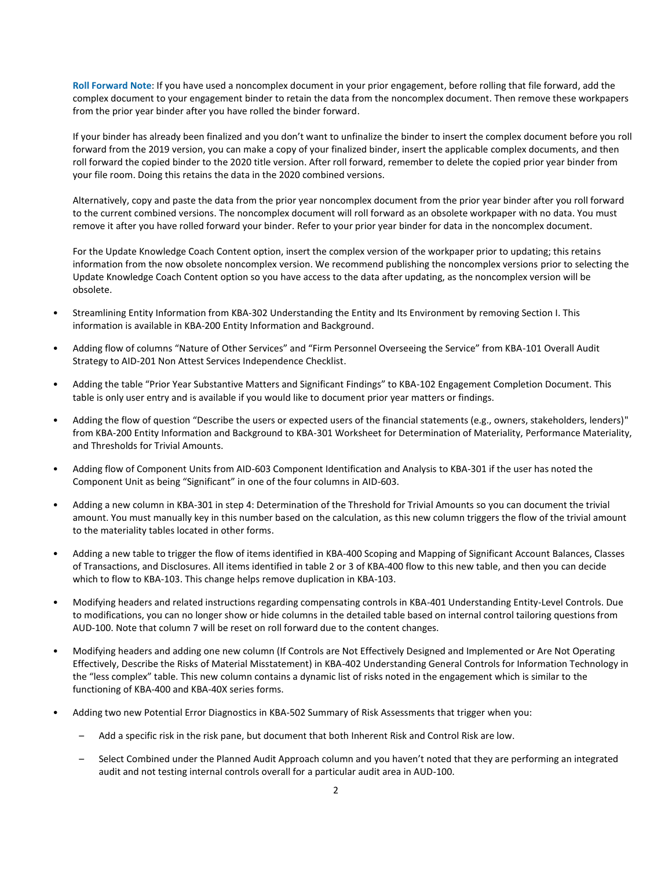**Roll Forward Note**: If you have used a noncomplex document in your prior engagement, before rolling that file forward, add the complex document to your engagement binder to retain the data from the noncomplex document. Then remove these workpapers from the prior year binder after you have rolled the binder forward.

If your binder has already been finalized and you don't want to unfinalize the binder to insert the complex document before you roll forward from the 2019 version, you can make a copy of your finalized binder, insert the applicable complex documents, and then roll forward the copied binder to the 2020 title version. After roll forward, remember to delete the copied prior year binder from your file room. Doing this retains the data in the 2020 combined versions.

Alternatively, copy and paste the data from the prior year noncomplex document from the prior year binder after you roll forward to the current combined versions. The noncomplex document will roll forward as an obsolete workpaper with no data. You must remove it after you have rolled forward your binder. Refer to your prior year binder for data in the noncomplex document.

For the Update Knowledge Coach Content option, insert the complex version of the workpaper prior to updating; this retains information from the now obsolete noncomplex version. We recommend publishing the noncomplex versions prior to selecting the Update Knowledge Coach Content option so you have access to the data after updating, as the noncomplex version will be obsolete.

- Streamlining Entity Information from KBA-302 Understanding the Entity and Its Environment by removing Section I. This information is available in KBA-200 Entity Information and Background.
- Adding flow of columns "Nature of Other Services" and "Firm Personnel Overseeing the Service" from KBA-101 Overall Audit Strategy to AID-201 Non Attest Services Independence Checklist.
- Adding the table "Prior Year Substantive Matters and Significant Findings" to KBA-102 Engagement Completion Document. This table is only user entry and is available if you would like to document prior year matters or findings.
- Adding the flow of question "Describe the users or expected users of the financial statements (e.g., owners, stakeholders, lenders)" from KBA-200 Entity Information and Background to KBA-301 Worksheet for Determination of Materiality, Performance Materiality, and Thresholds for Trivial Amounts.
- Adding flow of Component Units from AID-603 Component Identification and Analysis to KBA-301 if the user has noted the Component Unit as being "Significant" in one of the four columns in AID-603.
- Adding a new column in KBA-301 in step 4: Determination of the Threshold for Trivial Amounts so you can document the trivial amount. You must manually key in this number based on the calculation, as this new column triggers the flow of the trivial amount to the materiality tables located in other forms.
- Adding a new table to trigger the flow of items identified in KBA-400 Scoping and Mapping of Significant Account Balances, Classes of Transactions, and Disclosures. All items identified in table 2 or 3 of KBA-400 flow to this new table, and then you can decide which to flow to KBA-103. This change helps remove duplication in KBA-103.
- Modifying headers and related instructions regarding compensating controls in KBA-401 Understanding Entity-Level Controls. Due to modifications, you can no longer show or hide columns in the detailed table based on internal control tailoring questions from AUD-100. Note that column 7 will be reset on roll forward due to the content changes.
- Modifying headers and adding one new column (If Controls are Not Effectively Designed and Implemented or Are Not Operating Effectively, Describe the Risks of Material Misstatement) in KBA-402 Understanding General Controls for Information Technology in the "less complex" table. This new column contains a dynamic list of risks noted in the engagement which is similar to the functioning of KBA-400 and KBA-40X series forms.
- Adding two new Potential Error Diagnostics in KBA-502 Summary of Risk Assessments that trigger when you:
	- Add a specific risk in the risk pane, but document that both Inherent Risk and Control Risk are low.
	- Select Combined under the Planned Audit Approach column and you haven't noted that they are performing an integrated audit and not testing internal controls overall for a particular audit area in AUD-100.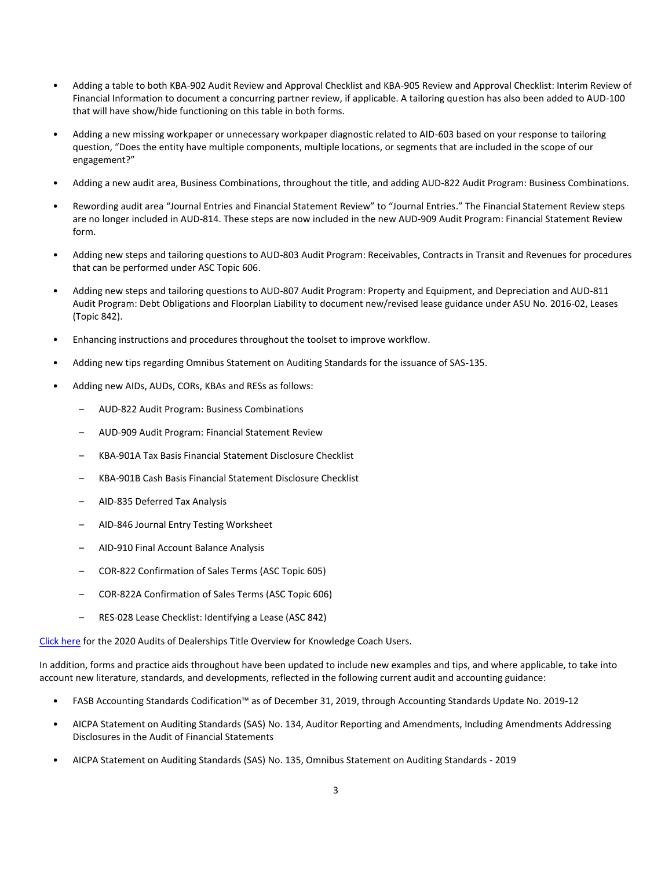- Adding a table to both KBA-902 Audit Review and Approval Checklist and KBA-905 Review and Approval Checklist: Interim Review of Financial Information to document a concurring partner review, if applicable. A tailoring question has also been added to AUD-100 that will have show/hide functioning on this table in both forms.
- Adding a new missing workpaper or unnecessary workpaper diagnostic related to AID-603 based on your response to tailoring question, "Does the entity have multiple components, multiple locations, or segments that are included in the scope of our engagement?"
- Adding a new audit area, Business Combinations, throughout the title, and adding AUD-822 Audit Program: Business Combinations.
- Rewording audit area "Journal Entries and Financial Statement Review" to "Journal Entries." The Financial Statement Review steps are no longer included in AUD-814. These steps are now included in the new AUD-909 Audit Program: Financial Statement Review form.
- Adding new steps and tailoring questions to AUD-803 Audit Program: Receivables, Contracts in Transit and Revenues for procedures that can be performed under ASC Topic 606.
- Adding new steps and tailoring questions to AUD-807 Audit Program: Property and Equipment, and Depreciation and AUD-811 Audit Program: Debt Obligations and Floorplan Liability to document new/revised lease guidance under ASU No. 2016-02, Leases (Topic 842).
- Enhancing instructions and procedures throughout the toolset to improve workflow.
- Adding new tips regarding Omnibus Statement on Auditing Standards for the issuance of SAS-135.
- Adding new AIDs, AUDs, CORs, KBAs and RESs as follows:
	- AUD-822 Audit Program: Business Combinations
	- AUD-909 Audit Program: Financial Statement Review
	- KBA-901A Tax Basis Financial Statement Disclosure Checklist
	- KBA-901B Cash Basis Financial Statement Disclosure Checklist
	- AID-835 Deferred Tax Analysis
	- AID-846 Journal Entry Testing Worksheet
	- AID-910 Final Account Balance Analysis
	- COR-822 Confirmation of Sales Terms (ASC Topic 605)
	- COR-822A Confirmation of Sales Terms (ASC Topic 606)
	- RES-028 Lease Checklist: Identifying a Lease (ASC 842)

[Click here](http://support.cch.com/updates/KnowledgeCoach/pdf/guides_tab/2020%20Dealerships%20Audit%20Title%20Overview%20for%20Knowledge%20Coach%20Users.pdf) for the 2020 Audits of Dealerships Title Overview for Knowledge Coach Users.

In addition, forms and practice aids throughout have been updated to include new examples and tips, and where applicable, to take into account new literature, standards, and developments, reflected in the following current audit and accounting guidance:

- FASB Accounting Standards Codification™ as of December 31, 2019, through Accounting Standards Update No. 2019-12
- AICPA Statement on Auditing Standards (SAS) No. 134, Auditor Reporting and Amendments, Including Amendments Addressing Disclosures in the Audit of Financial Statements
- AICPA Statement on Auditing Standards (SAS) No. 135, Omnibus Statement on Auditing Standards 2019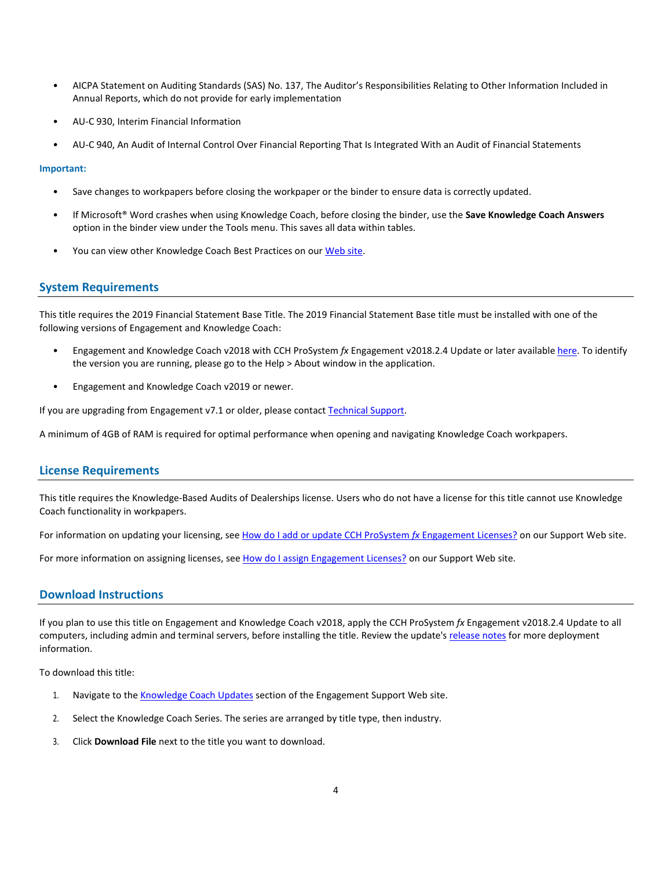- AICPA Statement on Auditing Standards (SAS) No. 137, The Auditor's Responsibilities Relating to Other Information Included in Annual Reports, which do not provide for early implementation
- AU-C 930, Interim Financial Information
- AU-C 940, An Audit of Internal Control Over Financial Reporting That Is Integrated With an Audit of Financial Statements

#### **Important:**

- Save changes to workpapers before closing the workpaper or the binder to ensure data is correctly updated.
- If Microsoft® Word crashes when using Knowledge Coach, before closing the binder, use the **Save Knowledge Coach Answers** option in the binder view under the Tools menu. This saves all data within tables.
- You can view other Knowledge Coach Best Practices on ou[r Web](https://support.cch.com/kb/solution/000034942/sw34947) site.

### **System Requirements**

This title requires the 2019 Financial Statement Base Title. The 2019 Financial Statement Base title must be installed with one of the following versions of Engagement and Knowledge Coach:

- Engagement and Knowledge Coach v2018 with CCH ProSystem *fx* Engagement v2018.2.4 Update or later available [here.](https://support.cch.com/updates/Engagement/release2018/release2018.aspx) To identify the version you are running, please go to the Help > About window in the application.
- Engagement and Knowledge Coach v2019 or newer.

If you are upgrading from Engagement v7.1 or older, please contact [Technical Support.](https://support.cch.com/contact)

A minimum of 4GB of RAM is required for optimal performance when opening and navigating Knowledge Coach workpapers.

# **License Requirements**

This title requires the Knowledge-Based Audits of Dealerships license. Users who do not have a license for this title cannot use Knowledge Coach functionality in workpapers.

For information on updating your licensing, see [How do I add or update CCH ProSystem](https://support.cch.com/kb/solution.aspx/sw3937) *fx* Engagement Licenses? on our Support Web site.

For more information on assigning licenses, see [How do I assign Engagement Licenses?](https://support.cch.com/kb/solution.aspx/sw3943) on our Support Web site.

# **Download Instructions**

If you plan to use this title on Engagement and Knowledge Coach v2018, apply the CCH ProSystem *fx* Engagement v2018.2.4 Update to all computers, including admin and terminal servers, before installing the title. Review the update's [release notes](https://d2iceilwdglxpz.cloudfront.net/release_notes/CCH%20ProSystem%20fx%20Engagement%202018.2.4%20Release%20Notes.pdf) for more deployment information.

To download this title:

- 1. Navigate to the [Knowledge Coach Updates](http://support.cch.com/updates/KnowledgeCoach) section of the Engagement Support Web site.
- 2. Select the Knowledge Coach Series. The series are arranged by title type, then industry.
- 3. Click **Download File** next to the title you want to download.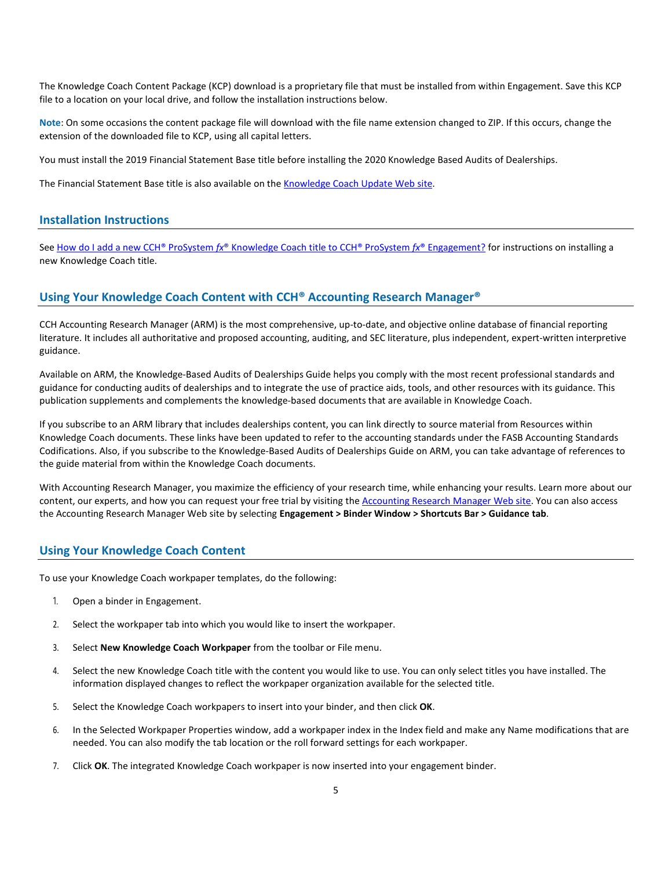The Knowledge Coach Content Package (KCP) download is a proprietary file that must be installed from within Engagement. Save this KCP file to a location on your local drive, and follow the installation instructions below.

**Note**: On some occasions the content package file will download with the file name extension changed to ZIP. If this occurs, change the extension of the downloaded file to KCP, using all capital letters.

You must install the 2019 Financial Statement Base title before installing the 2020 Knowledge Based Audits of Dealerships.

The Financial Statement Base title is also available on th[e Knowledge Coach Update Web](http://support.cch.com/updates/KnowledgeCoach) site.

#### **Installation Instructions**

See How do I add a new CCH® ProSystem *fx*[® Knowledge Coach title to CCH® ProSystem](https://support.cch.com/kb/solution/000033707/sw30271) *fx*® Engagement? for instructions on installing a new Knowledge Coach title.

## **Using Your Knowledge Coach Content with CCH® Accounting Research Manager®**

CCH Accounting Research Manager (ARM) is the most comprehensive, up-to-date, and objective online database of financial reporting literature. It includes all authoritative and proposed accounting, auditing, and SEC literature, plus independent, expert-written interpretive guidance.

Available on ARM, the Knowledge-Based Audits of Dealerships Guide helps you comply with the most recent professional standards and guidance for conducting audits of dealerships and to integrate the use of practice aids, tools, and other resources with its guidance. This publication supplements and complements the knowledge-based documents that are available in Knowledge Coach.

If you subscribe to an ARM library that includes dealerships content, you can link directly to source material from Resources within Knowledge Coach documents. These links have been updated to refer to the accounting standards under the FASB Accounting Standards Codifications. Also, if you subscribe to the Knowledge-Based Audits of Dealerships Guide on ARM, you can take advantage of references to the guide material from within the Knowledge Coach documents.

With Accounting Research Manager, you maximize the efficiency of your research time, while enhancing your results. Learn more about our content, our experts, and how you can request your free trial by visiting the [Accounting Research Manager Web](http://www.accountingresearchmanager.com/) site. You can also access the Accounting Research Manager Web site by selecting **Engagement > Binder Window > Shortcuts Bar > Guidance tab**.

#### **Using Your Knowledge Coach Content**

To use your Knowledge Coach workpaper templates, do the following:

- 1. Open a binder in Engagement.
- 2. Select the workpaper tab into which you would like to insert the workpaper.
- 3. Select **New Knowledge Coach Workpaper** from the toolbar or File menu.
- 4. Select the new Knowledge Coach title with the content you would like to use. You can only select titles you have installed. The information displayed changes to reflect the workpaper organization available for the selected title.
- 5. Select the Knowledge Coach workpapers to insert into your binder, and then click **OK**.
- 6. In the Selected Workpaper Properties window, add a workpaper index in the Index field and make any Name modifications that are needed. You can also modify the tab location or the roll forward settings for each workpaper.
- 7. Click **OK**. The integrated Knowledge Coach workpaper is now inserted into your engagement binder.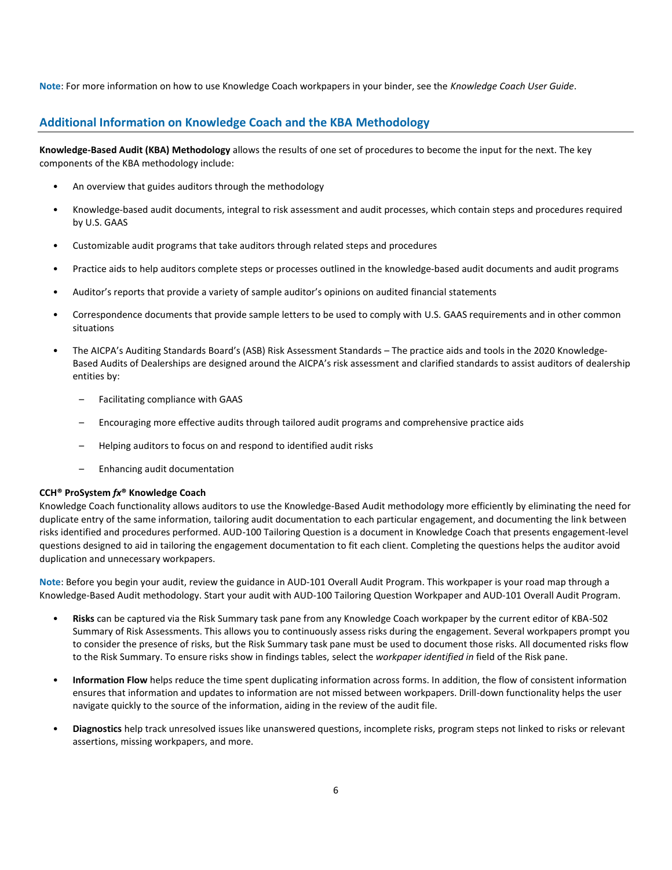**Note**: For more information on how to use Knowledge Coach workpapers in your binder, see the *Knowledge Coach User Guide*.

# **Additional Information on Knowledge Coach and the KBA Methodology**

**Knowledge-Based Audit (KBA) Methodology** allows the results of one set of procedures to become the input for the next. The key components of the KBA methodology include:

- An overview that guides auditors through the methodology
- Knowledge-based audit documents, integral to risk assessment and audit processes, which contain steps and procedures required by U.S. GAAS
- Customizable audit programs that take auditors through related steps and procedures
- Practice aids to help auditors complete steps or processes outlined in the knowledge-based audit documents and audit programs
- Auditor's reports that provide a variety of sample auditor's opinions on audited financial statements
- Correspondence documents that provide sample letters to be used to comply with U.S. GAAS requirements and in other common situations
- The AICPA's Auditing Standards Board's (ASB) Risk Assessment Standards The practice aids and tools in the 2020 Knowledge-Based Audits of Dealerships are designed around the AICPA's risk assessment and clarified standards to assist auditors of dealership entities by:
	- Facilitating compliance with GAAS
	- Encouraging more effective audits through tailored audit programs and comprehensive practice aids
	- Helping auditors to focus on and respond to identified audit risks
	- Enhancing audit documentation

#### **CCH® ProSystem** *fx***® Knowledge Coach**

Knowledge Coach functionality allows auditors to use the Knowledge-Based Audit methodology more efficiently by eliminating the need for duplicate entry of the same information, tailoring audit documentation to each particular engagement, and documenting the link between risks identified and procedures performed. AUD-100 Tailoring Question is a document in Knowledge Coach that presents engagement-level questions designed to aid in tailoring the engagement documentation to fit each client. Completing the questions helps the auditor avoid duplication and unnecessary workpapers.

**Note**: Before you begin your audit, review the guidance in AUD-101 Overall Audit Program. This workpaper is your road map through a Knowledge-Based Audit methodology. Start your audit with AUD-100 Tailoring Question Workpaper and AUD-101 Overall Audit Program.

- **Risks** can be captured via the Risk Summary task pane from any Knowledge Coach workpaper by the current editor of KBA-502 Summary of Risk Assessments. This allows you to continuously assess risks during the engagement. Several workpapers prompt you to consider the presence of risks, but the Risk Summary task pane must be used to document those risks. All documented risks flow to the Risk Summary. To ensure risks show in findings tables, select the *workpaper identified in* field of the Risk pane.
- **Information Flow** helps reduce the time spent duplicating information across forms. In addition, the flow of consistent information ensures that information and updates to information are not missed between workpapers. Drill-down functionality helps the user navigate quickly to the source of the information, aiding in the review of the audit file.
- **Diagnostics** help track unresolved issues like unanswered questions, incomplete risks, program steps not linked to risks or relevant assertions, missing workpapers, and more.